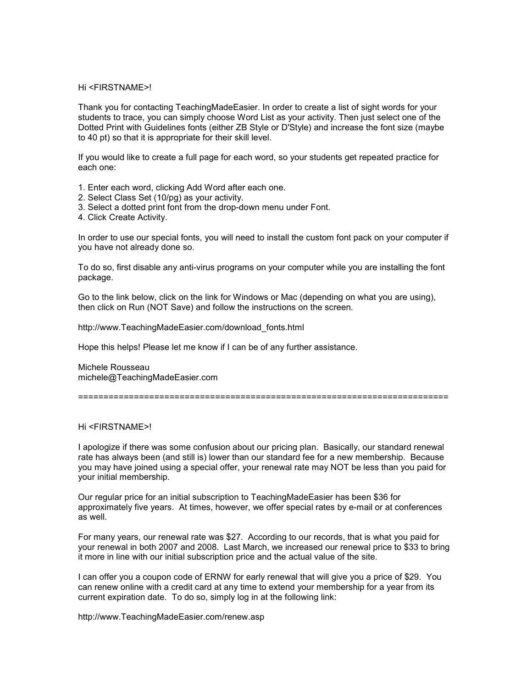## Hi <FIRSTNAME>!

Thank you for contacting TeachingMadeEasier. In order to create a list of sight words for your students to trace, you can simply choose Word List as your activity. Then just select one of the Dotted Print with Guidelines fonts (either ZB Style or D'Style) and increase the font size (maybe to 40 pt) so that it is appropriate for their skill level.

If you would like to create a full page for each word, so your students get repeated practice for each one:

- 1. Enter each word, clicking Add Word after each one.
- 2. Select Class Set (10/pg) as your activity.
- 3. Select a dotted print font from the drop-down menu under Font.
- 4. Click Create Activity.

In order to use our special fonts, you will need to install the custom font pack on your computer if you have not already done so.

To do so, first disable any anti-virus programs on your computer while you are installing the font package.

Go to the link below, click on the link for Windows or Mac (depending on what you are using), then click on Run (NOT Save) and follow the instructions on the screen.

http://www.TeachingMadeEasier.com/download\_fonts.html

Hope this helps! Please let me know if I can be of any further assistance.

Michele Rousseau michele@TeachingMadeEasier.com

=========================================================================

## Hi <FIRSTNAME>!

I apologize if there was some confusion about our pricing plan. Basically, our standard renewal rate has always been (and still is) lower than our standard fee for a new membership. Because you may have joined using a special offer, your renewal rate may NOT be less than you paid for your initial membership.

Our regular price for an initial subscription to TeachingMadeEasier has been \$36 for approximately five years. At times, however, we offer special rates by e-mail or at conferences as well.

For many years, our renewal rate was \$27. According to our records, that is what you paid for your renewal in both 2007 and 2008. Last March, we increased our renewal price to \$33 to bring it more in line with our initial subscription price and the actual value of the site.

I can offer you a coupon code of ERNW for early renewal that will give you a price of \$29. You can renew online with a credit card at any time to extend your membership for a year from its current expiration date. To do so, simply log in at the following link:

http://www.TeachingMadeEasier.com/renew.asp